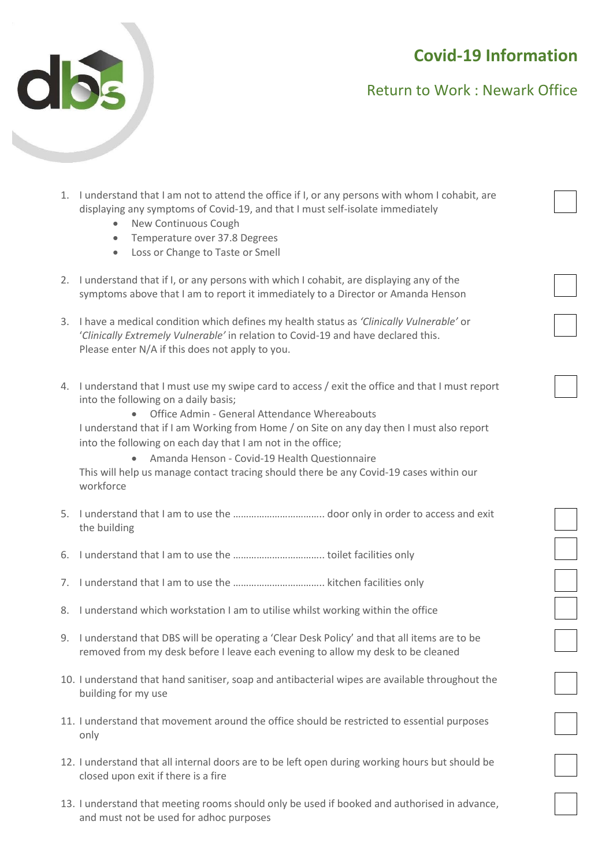# **Covid-19 Information**



### Return to Work : Newark Office

- 1. I understand that I am not to attend the office if I, or any persons with whom I cohabit, are displaying any symptoms of Covid-19, and that I must self-isolate immediately
	- New Continuous Cough
	- Temperature over 37.8 Degrees
	- Loss or Change to Taste or Smell
- 2. I understand that if I, or any persons with which I cohabit, are displaying any of the symptoms above that I am to report it immediately to a Director or Amanda Henson
- 3. I have a medical condition which defines my health status as *'Clinically Vulnerable'* or '*Clinically Extremely Vulnerable'* in relation to Covid-19 and have declared this. Please enter N/A if this does not apply to you.
- 4. I understand that I must use my swipe card to access / exit the office and that I must report into the following on a daily basis;
	- Office Admin General Attendance Whereabouts I understand that if I am Working from Home / on Site on any day then I must also report into the following on each day that I am not in the office;
	- Amanda Henson Covid-19 Health Questionnaire This will help us manage contact tracing should there be any Covid-19 cases within our workforce
- 5. I understand that I am to use the …………………………….. door only in order to access and exit the building
- 6. I understand that I am to use the …………………………….. toilet facilities only
- 7. I understand that I am to use the …………………………….. kitchen facilities only
- 8. I understand which workstation I am to utilise whilst working within the office
- 9. I understand that DBS will be operating a 'Clear Desk Policy' and that all items are to be removed from my desk before I leave each evening to allow my desk to be cleaned
- 10. I understand that hand sanitiser, soap and antibacterial wipes are available throughout the building for my use
- 11. I understand that movement around the office should be restricted to essential purposes only
- 12. I understand that all internal doors are to be left open during working hours but should be closed upon exit if there is a fire
- 13. I understand that meeting rooms should only be used if booked and authorised in advance, and must not be used for adhoc purposes